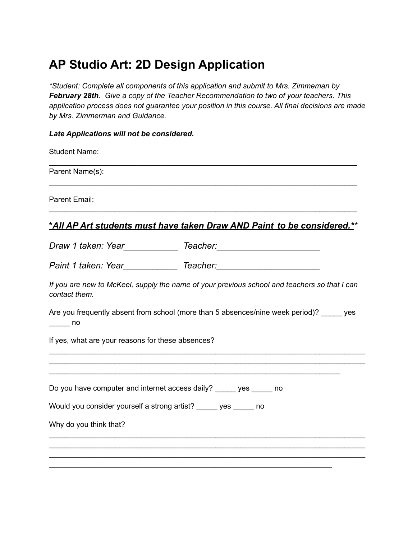# **AP Studio Art: 2D Design Application**

*\*Student: Complete all components of this application and submit to Mrs. Zimmeman by February 28th. Give a copy of the Teacher Recommendation to two of your teachers. This application process does not guarantee your position in this course. All final decisions are made by Mrs. Zimmerman and Guidance.*

#### *Late Applications will not be considered.*

| <b>Student Name:</b>                                                                                                |
|---------------------------------------------------------------------------------------------------------------------|
| Parent Name(s):                                                                                                     |
| Parent Email:                                                                                                       |
| <u>*All AP Art students must have taken Draw AND Paint to be considered.**</u>                                      |
|                                                                                                                     |
|                                                                                                                     |
| If you are new to McKeel, supply the name of your previous school and teachers so that I can<br>contact them.       |
| Are you frequently absent from school (more than 5 absences/nine week period)? _____ yes<br>$\rule{1em}{0.15mm}$ no |
| If yes, what are your reasons for these absences?                                                                   |
| Do you have computer and internet access daily? ______ yes ______ no                                                |
| Would you consider yourself a strong artist? _____ yes _____ no                                                     |
| Why do you think that?                                                                                              |
|                                                                                                                     |
|                                                                                                                     |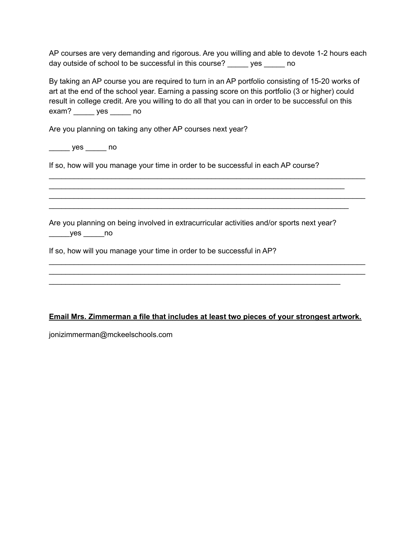AP courses are very demanding and rigorous. Are you willing and able to devote 1-2 hours each day outside of school to be successful in this course? \_\_\_\_\_ yes \_\_\_\_\_ no

By taking an AP course you are required to turn in an AP portfolio consisting of 15-20 works of art at the end of the school year. Earning a passing score on this portfolio (3 or higher) could result in college credit. Are you willing to do all that you can in order to be successful on this exam? \_\_\_\_\_ yes \_\_\_\_\_ no

\_\_\_\_\_\_\_\_\_\_\_\_\_\_\_\_\_\_\_\_\_\_\_\_\_\_\_\_\_\_\_\_\_\_\_\_\_\_\_\_\_\_\_\_\_\_\_\_\_\_\_\_\_\_\_\_\_\_\_\_\_\_\_\_\_\_\_\_\_\_\_\_\_\_\_\_

\_\_\_\_\_\_\_\_\_\_\_\_\_\_\_\_\_\_\_\_\_\_\_\_\_\_\_\_\_\_\_\_\_\_\_\_\_\_\_\_\_\_\_\_\_\_\_\_\_\_\_\_\_\_\_\_\_\_\_\_\_\_\_\_\_\_\_\_\_\_\_\_\_\_\_\_ \_\_\_\_\_\_\_\_\_\_\_\_\_\_\_\_\_\_\_\_\_\_\_\_\_\_\_\_\_\_\_\_\_\_\_\_\_\_\_\_\_\_\_\_\_\_\_\_\_\_\_\_\_\_\_\_\_\_\_\_\_\_\_\_\_\_\_\_\_\_\_\_

\_\_\_\_\_\_\_\_\_\_\_\_\_\_\_\_\_\_\_\_\_\_\_\_\_\_\_\_\_\_\_\_\_\_\_\_\_\_\_\_\_\_\_\_\_\_\_\_\_\_\_\_\_\_\_\_\_\_\_\_\_\_\_\_\_\_\_\_\_\_\_\_\_\_\_\_ \_\_\_\_\_\_\_\_\_\_\_\_\_\_\_\_\_\_\_\_\_\_\_\_\_\_\_\_\_\_\_\_\_\_\_\_\_\_\_\_\_\_\_\_\_\_\_\_\_\_\_\_\_\_\_\_\_\_\_\_\_\_\_\_\_\_\_\_\_\_\_\_\_\_\_\_

\_\_\_\_\_\_\_\_\_\_\_\_\_\_\_\_\_\_\_\_\_\_\_\_\_\_\_\_\_\_\_\_\_\_\_\_\_\_\_\_\_\_\_\_\_\_\_\_\_\_\_\_\_\_\_\_\_\_\_\_\_\_\_\_\_\_\_\_\_\_\_

Are you planning on taking any other AP courses next year?

\_\_\_\_\_ yes \_\_\_\_\_ no

If so, how will you manage your time in order to be successful in each AP course?

Are you planning on being involved in extracurricular activities and/or sports next year?  $yes$  \_\_\_\_\_\_no

\_\_\_\_\_\_\_\_\_\_\_\_\_\_\_\_\_\_\_\_\_\_\_\_\_\_\_\_\_\_\_\_\_\_\_\_\_\_\_\_\_\_\_\_\_\_\_\_\_\_\_\_\_\_\_\_\_\_\_\_\_\_\_\_\_\_\_\_\_\_

If so, how will you manage your time in order to be successful in AP?

#### **Email Mrs. Zimmerman a file that includes at least two pieces of your strongest artwork.**

jonizimmerman@mckeelschools.com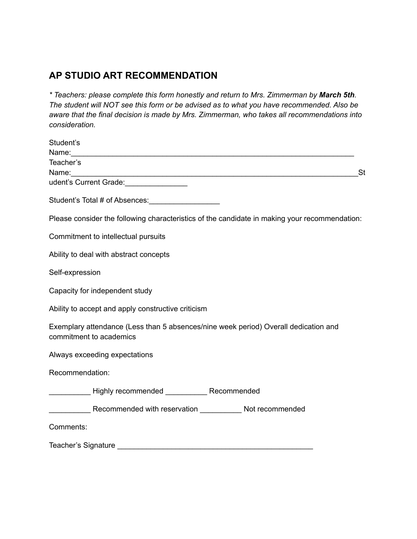## **AP STUDIO ART RECOMMENDATION**

*\* Teachers: please complete this form honestly and return to Mrs. Zimmerman by March 5th. The student will NOT see this form or be advised as to what you have recommended. Also be aware that the final decision is made by Mrs. Zimmerman, who takes all recommendations into consideration.*

| Student's                                                                                                                                                                                                                                           |
|-----------------------------------------------------------------------------------------------------------------------------------------------------------------------------------------------------------------------------------------------------|
|                                                                                                                                                                                                                                                     |
| Teacher's                                                                                                                                                                                                                                           |
| <b>St</b><br>udent's Current Grade:<br><u>[</u> [11] Dental Contract Contract Contract Contract Contract Contract Contract Contract Contract Contract Contract Contract Contract Contract Contract Contract Contract Contract Contract Contract Con |
|                                                                                                                                                                                                                                                     |
| Student's Total # of Absences: __________________                                                                                                                                                                                                   |
| Please consider the following characteristics of the candidate in making your recommendation:                                                                                                                                                       |
| Commitment to intellectual pursuits                                                                                                                                                                                                                 |
| Ability to deal with abstract concepts                                                                                                                                                                                                              |
| Self-expression                                                                                                                                                                                                                                     |
| Capacity for independent study                                                                                                                                                                                                                      |
| Ability to accept and apply constructive criticism                                                                                                                                                                                                  |
| Exemplary attendance (Less than 5 absences/nine week period) Overall dedication and<br>commitment to academics                                                                                                                                      |
| Always exceeding expectations                                                                                                                                                                                                                       |
| Recommendation:                                                                                                                                                                                                                                     |
|                                                                                                                                                                                                                                                     |
| Recommended with reservation _______________ Not recommended                                                                                                                                                                                        |
| Comments:                                                                                                                                                                                                                                           |
| Teacher's Signature                                                                                                                                                                                                                                 |